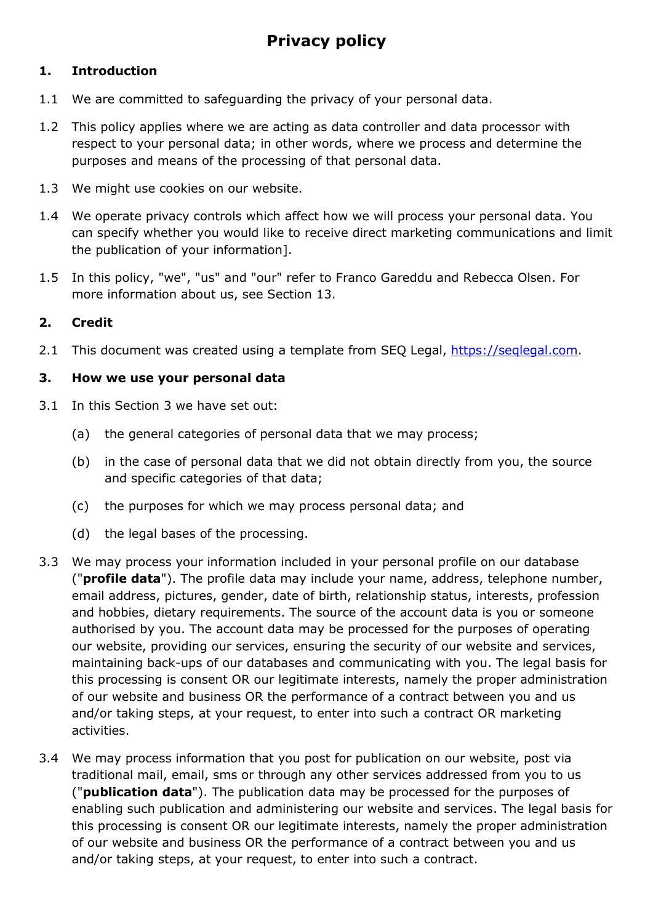## **1. Introduction**

- 1.1 We are committed to safeguarding the privacy of your personal data.
- 1.2 This policy applies where we are acting as data controller and data processor with respect to your personal data; in other words, where we process and determine the purposes and means of the processing of that personal data.
- 1.3 We might use cookies on our website.
- 1.4 We operate privacy controls which affect how we will process your personal data. You can specify whether you would like to receive direct marketing communications and limit the publication of your information].
- 1.5 In this policy, "we", "us" and "our" refer to Franco Gareddu and Rebecca Olsen. For more information about us, see Section 13.

## **2. Credit**

2.1 This document was created using a template from SEQ Legal, [https://seqlegal.com.](https://seqlegal.com/)

#### **3. How we use your personal data**

- 3.1 In this Section 3 we have set out:
	- (a) the general categories of personal data that we may process;
	- (b) in the case of personal data that we did not obtain directly from you, the source and specific categories of that data;
	- (c) the purposes for which we may process personal data; and
	- (d) the legal bases of the processing.
- 3.3 We may process your information included in your personal profile on our database ("**profile data**"). The profile data may include your name, address, telephone number, email address, pictures, gender, date of birth, relationship status, interests, profession and hobbies, dietary requirements. The source of the account data is you or someone authorised by you. The account data may be processed for the purposes of operating our website, providing our services, ensuring the security of our website and services, maintaining back-ups of our databases and communicating with you. The legal basis for this processing is consent OR our legitimate interests, namely the proper administration of our website and business OR the performance of a contract between you and us and/or taking steps, at your request, to enter into such a contract OR marketing activities.
- 3.4 We may process information that you post for publication on our website, post via traditional mail, email, sms or through any other services addressed from you to us ("**publication data**"). The publication data may be processed for the purposes of enabling such publication and administering our website and services. The legal basis for this processing is consent OR our legitimate interests, namely the proper administration of our website and business OR the performance of a contract between you and us and/or taking steps, at your request, to enter into such a contract.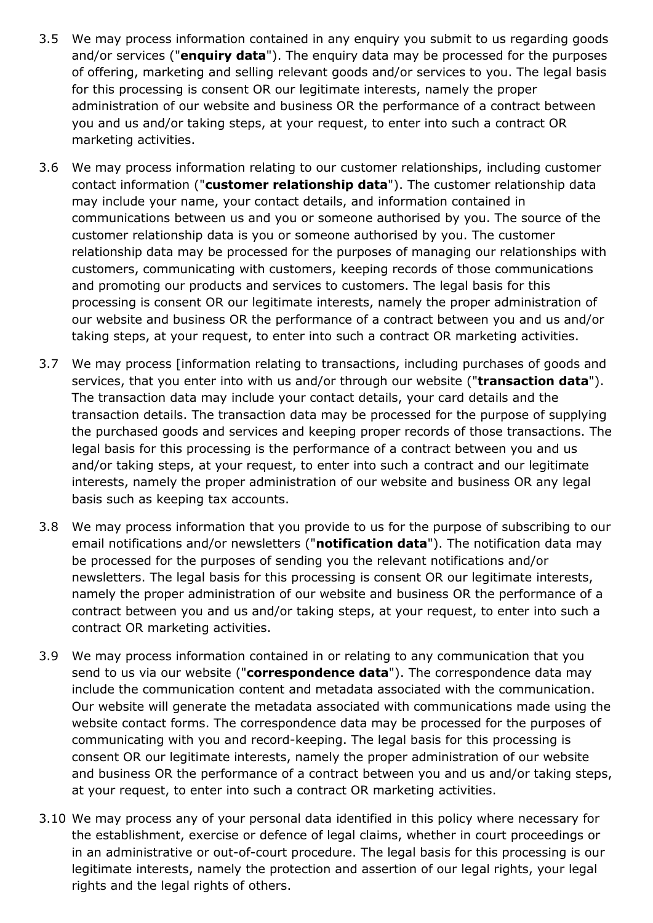- 3.5 We may process information contained in any enquiry you submit to us regarding goods and/or services ("**enquiry data**"). The enquiry data may be processed for the purposes of offering, marketing and selling relevant goods and/or services to you. The legal basis for this processing is consent OR our legitimate interests, namely the proper administration of our website and business OR the performance of a contract between you and us and/or taking steps, at your request, to enter into such a contract OR marketing activities.
- 3.6 We may process information relating to our customer relationships, including customer contact information ("**customer relationship data**"). The customer relationship data may include your name, your contact details, and information contained in communications between us and you or someone authorised by you. The source of the customer relationship data is you or someone authorised by you. The customer relationship data may be processed for the purposes of managing our relationships with customers, communicating with customers, keeping records of those communications and promoting our products and services to customers. The legal basis for this processing is consent OR our legitimate interests, namely the proper administration of our website and business OR the performance of a contract between you and us and/or taking steps, at your request, to enter into such a contract OR marketing activities.
- 3.7 We may process [information relating to transactions, including purchases of goods and services, that you enter into with us and/or through our website ("**transaction data**"). The transaction data may include your contact details, your card details and the transaction details. The transaction data may be processed for the purpose of supplying the purchased goods and services and keeping proper records of those transactions. The legal basis for this processing is the performance of a contract between you and us and/or taking steps, at your request, to enter into such a contract and our legitimate interests, namely the proper administration of our website and business OR any legal basis such as keeping tax accounts.
- 3.8 We may process information that you provide to us for the purpose of subscribing to our email notifications and/or newsletters ("**notification data**"). The notification data may be processed for the purposes of sending you the relevant notifications and/or newsletters. The legal basis for this processing is consent OR our legitimate interests, namely the proper administration of our website and business OR the performance of a contract between you and us and/or taking steps, at your request, to enter into such a contract OR marketing activities.
- 3.9 We may process information contained in or relating to any communication that you send to us via our website ("**correspondence data**"). The correspondence data may include the communication content and metadata associated with the communication. Our website will generate the metadata associated with communications made using the website contact forms. The correspondence data may be processed for the purposes of communicating with you and record-keeping. The legal basis for this processing is consent OR our legitimate interests, namely the proper administration of our website and business OR the performance of a contract between you and us and/or taking steps, at your request, to enter into such a contract OR marketing activities.
- 3.10 We may process any of your personal data identified in this policy where necessary for the establishment, exercise or defence of legal claims, whether in court proceedings or in an administrative or out-of-court procedure. The legal basis for this processing is our legitimate interests, namely the protection and assertion of our legal rights, your legal rights and the legal rights of others.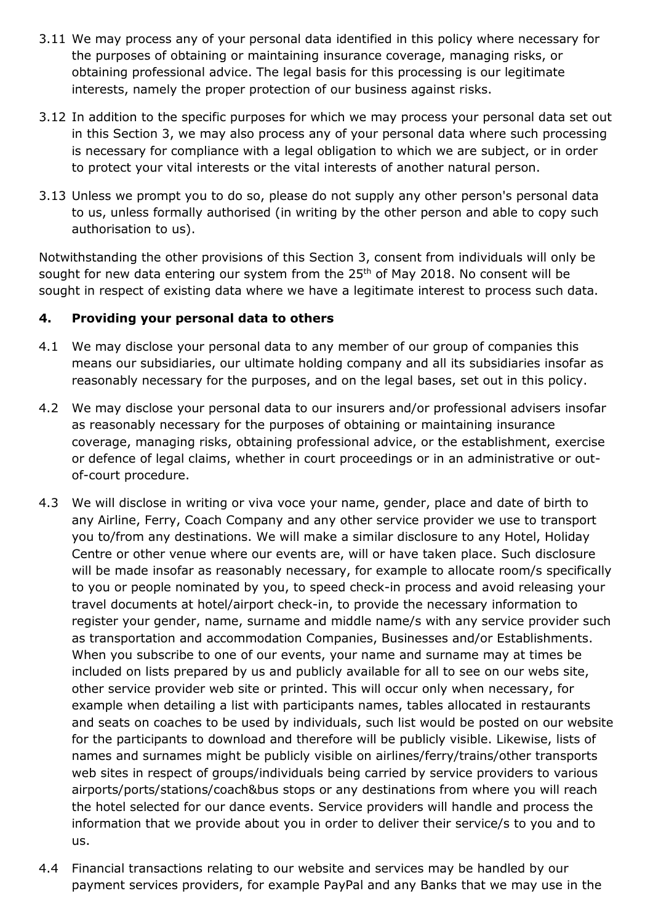- 3.11 We may process any of your personal data identified in this policy where necessary for the purposes of obtaining or maintaining insurance coverage, managing risks, or obtaining professional advice. The legal basis for this processing is our legitimate interests, namely the proper protection of our business against risks.
- 3.12 In addition to the specific purposes for which we may process your personal data set out in this Section 3, we may also process any of your personal data where such processing is necessary for compliance with a legal obligation to which we are subject, or in order to protect your vital interests or the vital interests of another natural person.
- 3.13 Unless we prompt you to do so, please do not supply any other person's personal data to us, unless formally authorised (in writing by the other person and able to copy such authorisation to us).

Notwithstanding the other provisions of this Section 3, consent from individuals will only be sought for new data entering our system from the  $25<sup>th</sup>$  of May 2018. No consent will be sought in respect of existing data where we have a legitimate interest to process such data.

## **4. Providing your personal data to others**

- 4.1 We may disclose your personal data to any member of our group of companies this means our subsidiaries, our ultimate holding company and all its subsidiaries insofar as reasonably necessary for the purposes, and on the legal bases, set out in this policy.
- 4.2 We may disclose your personal data to our insurers and/or professional advisers insofar as reasonably necessary for the purposes of obtaining or maintaining insurance coverage, managing risks, obtaining professional advice, or the establishment, exercise or defence of legal claims, whether in court proceedings or in an administrative or outof-court procedure.
- 4.3 We will disclose in writing or viva voce your name, gender, place and date of birth to any Airline, Ferry, Coach Company and any other service provider we use to transport you to/from any destinations. We will make a similar disclosure to any Hotel, Holiday Centre or other venue where our events are, will or have taken place. Such disclosure will be made insofar as reasonably necessary, for example to allocate room/s specifically to you or people nominated by you, to speed check-in process and avoid releasing your travel documents at hotel/airport check-in, to provide the necessary information to register your gender, name, surname and middle name/s with any service provider such as transportation and accommodation Companies, Businesses and/or Establishments. When you subscribe to one of our events, your name and surname may at times be included on lists prepared by us and publicly available for all to see on our webs site, other service provider web site or printed. This will occur only when necessary, for example when detailing a list with participants names, tables allocated in restaurants and seats on coaches to be used by individuals, such list would be posted on our website for the participants to download and therefore will be publicly visible. Likewise, lists of names and surnames might be publicly visible on airlines/ferry/trains/other transports web sites in respect of groups/individuals being carried by service providers to various airports/ports/stations/coach&bus stops or any destinations from where you will reach the hotel selected for our dance events. Service providers will handle and process the information that we provide about you in order to deliver their service/s to you and to us.
- 4.4 Financial transactions relating to our website and services may be handled by our payment services providers, for example PayPal and any Banks that we may use in the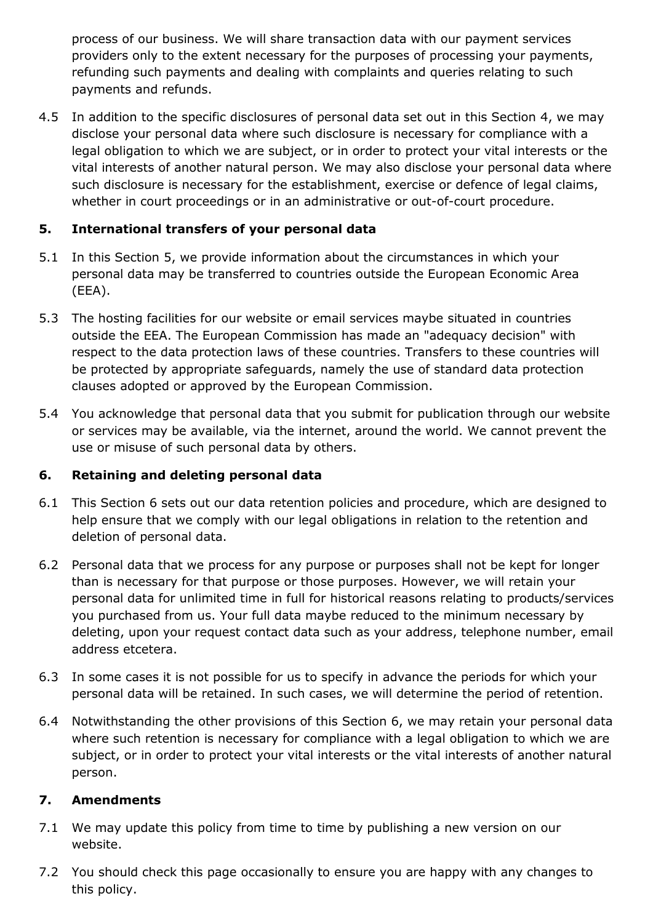process of our business. We will share transaction data with our payment services providers only to the extent necessary for the purposes of processing your payments, refunding such payments and dealing with complaints and queries relating to such payments and refunds.

4.5 In addition to the specific disclosures of personal data set out in this Section 4, we may disclose your personal data where such disclosure is necessary for compliance with a legal obligation to which we are subject, or in order to protect your vital interests or the vital interests of another natural person. We may also disclose your personal data where such disclosure is necessary for the establishment, exercise or defence of legal claims, whether in court proceedings or in an administrative or out-of-court procedure.

# **5. International transfers of your personal data**

- 5.1 In this Section 5, we provide information about the circumstances in which your personal data may be transferred to countries outside the European Economic Area (EEA).
- 5.3 The hosting facilities for our website or email services maybe situated in countries outside the EEA. The European Commission has made an "adequacy decision" with respect to the data protection laws of these countries. Transfers to these countries will be protected by appropriate safeguards, namely the use of standard data protection clauses adopted or approved by the European Commission.
- 5.4 You acknowledge that personal data that you submit for publication through our website or services may be available, via the internet, around the world. We cannot prevent the use or misuse of such personal data by others.

## **6. Retaining and deleting personal data**

- 6.1 This Section 6 sets out our data retention policies and procedure, which are designed to help ensure that we comply with our legal obligations in relation to the retention and deletion of personal data.
- 6.2 Personal data that we process for any purpose or purposes shall not be kept for longer than is necessary for that purpose or those purposes. However, we will retain your personal data for unlimited time in full for historical reasons relating to products/services you purchased from us. Your full data maybe reduced to the minimum necessary by deleting, upon your request contact data such as your address, telephone number, email address etcetera.
- 6.3 In some cases it is not possible for us to specify in advance the periods for which your personal data will be retained. In such cases, we will determine the period of retention.
- 6.4 Notwithstanding the other provisions of this Section 6, we may retain your personal data where such retention is necessary for compliance with a legal obligation to which we are subject, or in order to protect your vital interests or the vital interests of another natural person.

## **7. Amendments**

- 7.1 We may update this policy from time to time by publishing a new version on our website.
- 7.2 You should check this page occasionally to ensure you are happy with any changes to this policy.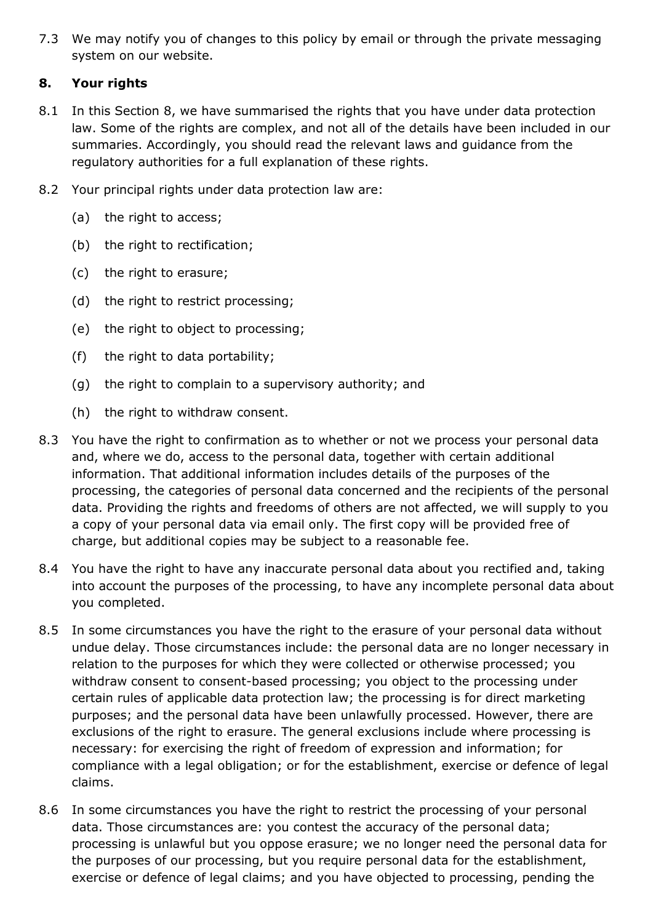7.3 We may notify you of changes to this policy by email or through the private messaging system on our website.

# **8. Your rights**

- 8.1 In this Section 8, we have summarised the rights that you have under data protection law. Some of the rights are complex, and not all of the details have been included in our summaries. Accordingly, you should read the relevant laws and guidance from the regulatory authorities for a full explanation of these rights.
- 8.2 Your principal rights under data protection law are:
	- (a) the right to access;
	- (b) the right to rectification;
	- (c) the right to erasure;
	- (d) the right to restrict processing;
	- (e) the right to object to processing;
	- (f) the right to data portability;
	- (g) the right to complain to a supervisory authority; and
	- (h) the right to withdraw consent.
- 8.3 You have the right to confirmation as to whether or not we process your personal data and, where we do, access to the personal data, together with certain additional information. That additional information includes details of the purposes of the processing, the categories of personal data concerned and the recipients of the personal data. Providing the rights and freedoms of others are not affected, we will supply to you a copy of your personal data via email only. The first copy will be provided free of charge, but additional copies may be subject to a reasonable fee.
- 8.4 You have the right to have any inaccurate personal data about you rectified and, taking into account the purposes of the processing, to have any incomplete personal data about you completed.
- 8.5 In some circumstances you have the right to the erasure of your personal data without undue delay. Those circumstances include: the personal data are no longer necessary in relation to the purposes for which they were collected or otherwise processed; you withdraw consent to consent-based processing; you object to the processing under certain rules of applicable data protection law; the processing is for direct marketing purposes; and the personal data have been unlawfully processed. However, there are exclusions of the right to erasure. The general exclusions include where processing is necessary: for exercising the right of freedom of expression and information; for compliance with a legal obligation; or for the establishment, exercise or defence of legal claims.
- 8.6 In some circumstances you have the right to restrict the processing of your personal data. Those circumstances are: you contest the accuracy of the personal data; processing is unlawful but you oppose erasure; we no longer need the personal data for the purposes of our processing, but you require personal data for the establishment, exercise or defence of legal claims; and you have objected to processing, pending the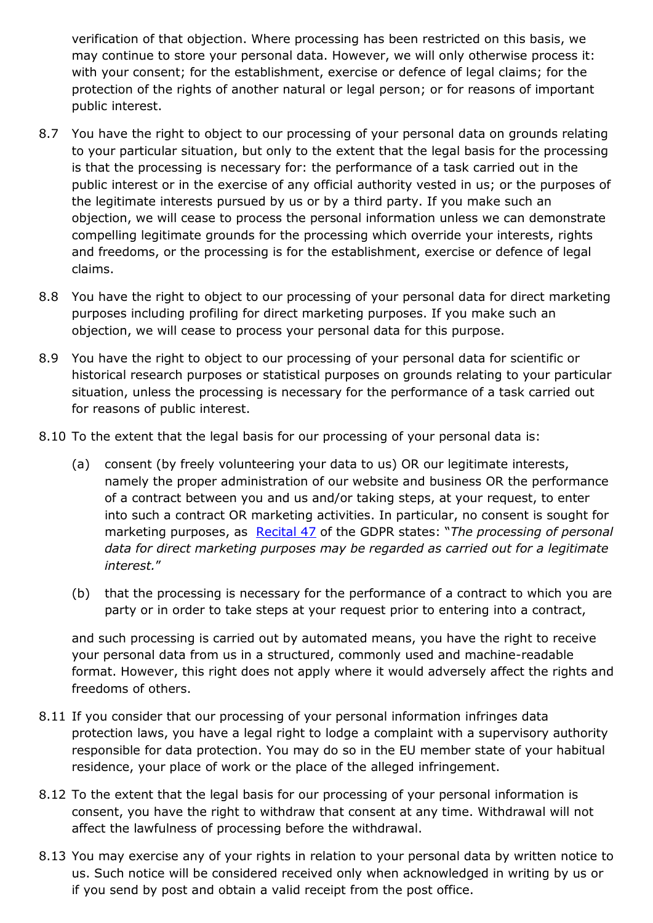verification of that objection. Where processing has been restricted on this basis, we may continue to store your personal data. However, we will only otherwise process it: with your consent; for the establishment, exercise or defence of legal claims; for the protection of the rights of another natural or legal person; or for reasons of important public interest.

- 8.7 You have the right to object to our processing of your personal data on grounds relating to your particular situation, but only to the extent that the legal basis for the processing is that the processing is necessary for: the performance of a task carried out in the public interest or in the exercise of any official authority vested in us; or the purposes of the legitimate interests pursued by us or by a third party. If you make such an objection, we will cease to process the personal information unless we can demonstrate compelling legitimate grounds for the processing which override your interests, rights and freedoms, or the processing is for the establishment, exercise or defence of legal claims.
- 8.8 You have the right to object to our processing of your personal data for direct marketing purposes including profiling for direct marketing purposes. If you make such an objection, we will cease to process your personal data for this purpose.
- 8.9 You have the right to object to our processing of your personal data for scientific or historical research purposes or statistical purposes on grounds relating to your particular situation, unless the processing is necessary for the performance of a task carried out for reasons of public interest.
- 8.10 To the extent that the legal basis for our processing of your personal data is:
	- (a) consent (by freely volunteering your data to us) OR our legitimate interests, namely the proper administration of our website and business OR the performance of a contract between you and us and/or taking steps, at your request, to enter into such a contract OR marketing activities. In particular, no consent is sought for marketing purposes, as [Recital 47](https://gdpr-info.eu/recitals/no-47/) of the GDPR states: "*The processing of personal data for direct marketing purposes may be regarded as carried out for a legitimate interest.*"
	- (b) that the processing is necessary for the performance of a contract to which you are party or in order to take steps at your request prior to entering into a contract,

and such processing is carried out by automated means, you have the right to receive your personal data from us in a structured, commonly used and machine-readable format. However, this right does not apply where it would adversely affect the rights and freedoms of others.

- 8.11 If you consider that our processing of your personal information infringes data protection laws, you have a legal right to lodge a complaint with a supervisory authority responsible for data protection. You may do so in the EU member state of your habitual residence, your place of work or the place of the alleged infringement.
- 8.12 To the extent that the legal basis for our processing of your personal information is consent, you have the right to withdraw that consent at any time. Withdrawal will not affect the lawfulness of processing before the withdrawal.
- 8.13 You may exercise any of your rights in relation to your personal data by written notice to us. Such notice will be considered received only when acknowledged in writing by us or if you send by post and obtain a valid receipt from the post office.